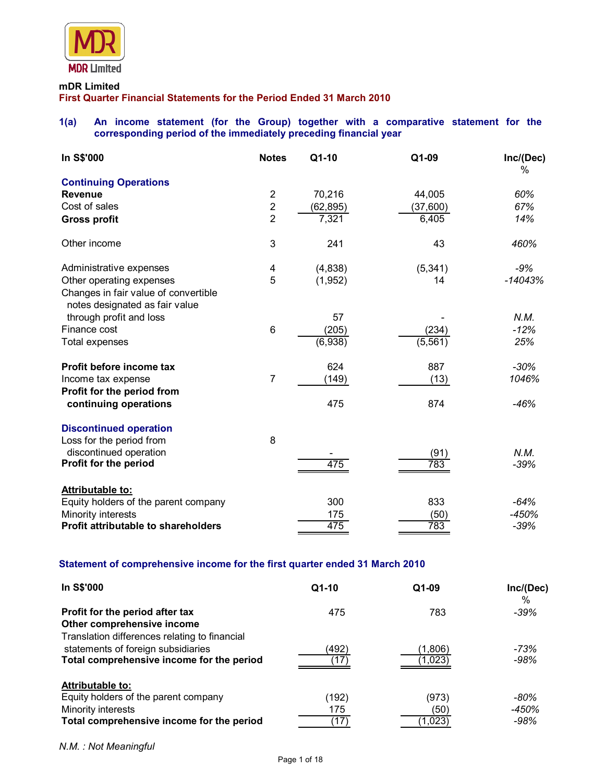

#### **mDR Limited**

**First Quarter Financial Statements for the Period Ended 31 March 2010** 

# **1(a) An income statement (for the Group) together with a comparative statement for the corresponding period of the immediately preceding financial year**

| In S\$'000                              | <b>Notes</b>   | Q1-10    | Q1-09    | Inc/(Dec)<br>% |
|-----------------------------------------|----------------|----------|----------|----------------|
| <b>Continuing Operations</b>            |                |          |          |                |
| <b>Revenue</b>                          | $\overline{2}$ | 70,216   | 44,005   | 60%            |
| Cost of sales                           | $\mathbf 2$    | (62,895) | (37,600) | 67%            |
| <b>Gross profit</b>                     | $\overline{2}$ | 7,321    | 6,405    | 14%            |
| Other income                            | 3              | 241      | 43       | 460%           |
| Administrative expenses                 | 4              | (4,838)  | (5, 341) | $-9%$          |
| Other operating expenses                | 5              | (1,952)  | 14       | $-14043%$      |
| Changes in fair value of convertible    |                |          |          |                |
| notes designated as fair value          |                |          |          |                |
| through profit and loss<br>Finance cost | 6              | 57       |          | N.M.           |
|                                         |                | (205)    | (234)    | $-12%$         |
| <b>Total expenses</b>                   |                | (6,938)  | (5, 561) | 25%            |
| Profit before income tax                |                | 624      | 887      | $-30%$         |
| Income tax expense                      | 7              | (149)    | (13)     | 1046%          |
| Profit for the period from              |                |          |          |                |
| continuing operations                   |                | 475      | 874      | $-46%$         |
| <b>Discontinued operation</b>           |                |          |          |                |
| Loss for the period from                | 8              |          |          |                |
| discontinued operation                  |                |          | (91)     | N.M.           |
| Profit for the period                   |                | 475      | 783      | $-39%$         |
| Attributable to:                        |                |          |          |                |
| Equity holders of the parent company    |                | 300      | 833      | $-64%$         |
| Minority interests                      |                | 175      | (50)     | -450%          |
| Profit attributable to shareholders     |                | 475      | 783      | $-39%$         |

### **Statement of comprehensive income for the first quarter ended 31 March 2010**

| In S\$'000                                                                                                                       | $Q1-10$                         | $Q1-09$                  | Inc/(Dec)<br>$\%$     |
|----------------------------------------------------------------------------------------------------------------------------------|---------------------------------|--------------------------|-----------------------|
| Profit for the period after tax<br>Other comprehensive income                                                                    | 475                             | 783                      | $-39%$                |
| Translation differences relating to financial<br>statements of foreign subsidiaries<br>Total comprehensive income for the period | (492)                           | (1,806)<br>(1,023)       | -73%<br>-98%          |
| Attributable to:<br>Equity holders of the parent company<br>Minority interests<br>Total comprehensive income for the period      | (192)<br>175<br>$^{\prime}$ 17) | (973)<br>(50)<br>(1,023) | -80%<br>-450%<br>-98% |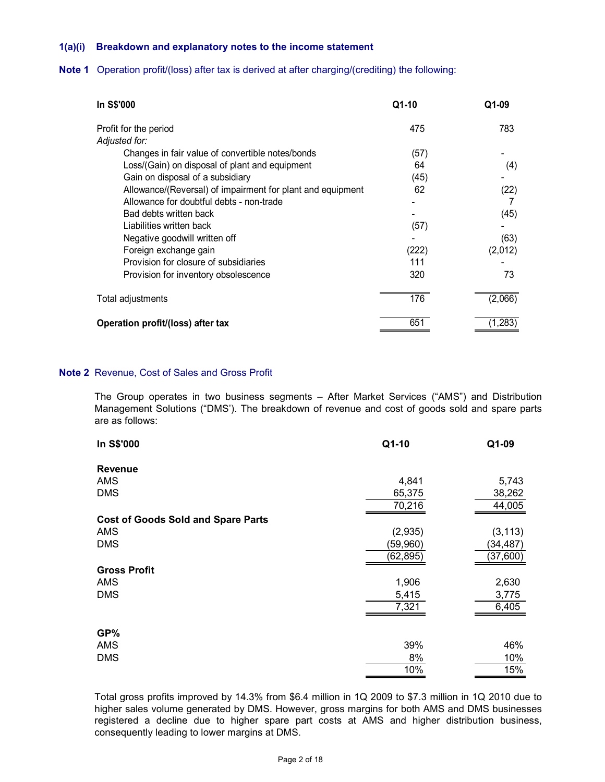### **1(a)(i) Breakdown and explanatory notes to the income statement**

#### **Note 1** Operation profit/(loss) after tax is derived at after charging/(crediting) the following:

| In S\$'000                                                 | Q1-10 | Q1-09   |
|------------------------------------------------------------|-------|---------|
| Profit for the period                                      | 475   | 783     |
| Adjusted for:                                              |       |         |
| Changes in fair value of convertible notes/bonds           | (57)  |         |
| Loss/(Gain) on disposal of plant and equipment             | 64    | (4)     |
| Gain on disposal of a subsidiary                           | (45)  |         |
| Allowance/(Reversal) of impairment for plant and equipment | 62    | (22)    |
| Allowance for doubtful debts - non-trade                   |       |         |
| Bad debts written back                                     |       | (45)    |
| Liabilities written back                                   | (57)  |         |
| Negative goodwill written off                              |       | (63)    |
| Foreign exchange gain                                      | (222) | (2,012) |
| Provision for closure of subsidiaries                      | 111   |         |
| Provision for inventory obsolescence                       | 320   | 73      |
| Total adjustments                                          | 176   | (2,066) |
| Operation profit/(loss) after tax                          | 651   | (1,283) |

#### **Note 2** Revenue, Cost of Sales and Gross Profit

The Group operates in two business segments – After Market Services ("AMS") and Distribution Management Solutions ("DMS'). The breakdown of revenue and cost of goods sold and spare parts are as follows:

| <b>In S\$'000</b>                         | Q1-10     | Q1-09     |
|-------------------------------------------|-----------|-----------|
| <b>Revenue</b>                            |           |           |
| <b>AMS</b>                                | 4,841     | 5,743     |
| <b>DMS</b>                                | 65,375    | 38,262    |
|                                           | 70,216    | 44,005    |
| <b>Cost of Goods Sold and Spare Parts</b> |           |           |
| <b>AMS</b>                                | (2,935)   | (3, 113)  |
| <b>DMS</b>                                | (59,960)  | (34, 487) |
|                                           | (62, 895) | (37,600)  |
| <b>Gross Profit</b>                       |           |           |
| <b>AMS</b>                                | 1,906     | 2,630     |
| <b>DMS</b>                                | 5,415     | 3,775     |
|                                           | 7,321     | 6,405     |
| GP%                                       |           |           |
| <b>AMS</b>                                | 39%       | 46%       |
| <b>DMS</b>                                | 8%        | 10%       |
|                                           | 10%       | 15%       |

Total gross profits improved by 14.3% from \$6.4 million in 1Q 2009 to \$7.3 million in 1Q 2010 due to higher sales volume generated by DMS. However, gross margins for both AMS and DMS businesses registered a decline due to higher spare part costs at AMS and higher distribution business, consequently leading to lower margins at DMS.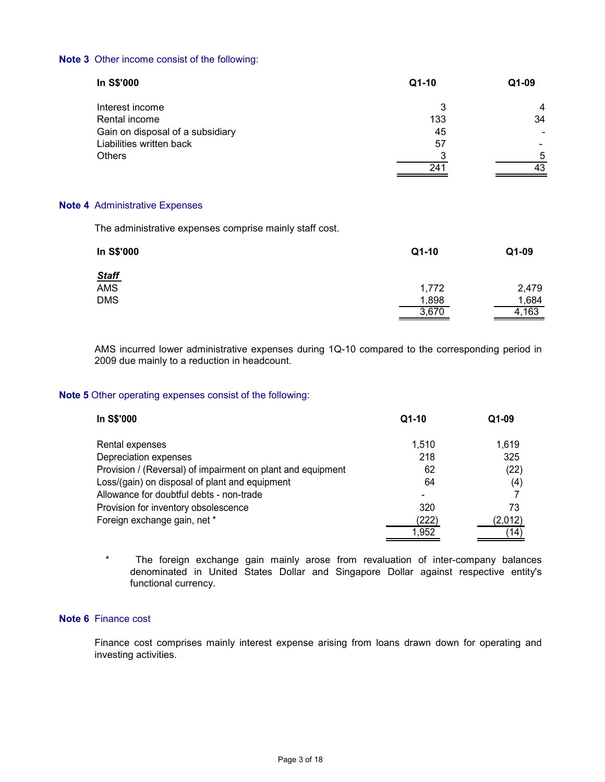### **Note 3** Other income consist of the following:

| In S\$'000                       | Q1-10 | Q1-09 |  |
|----------------------------------|-------|-------|--|
| Interest income                  |       | 4     |  |
| Rental income                    | 133   | 34    |  |
| Gain on disposal of a subsidiary | 45    |       |  |
| Liabilities written back         | 57    |       |  |
| <b>Others</b>                    |       | 5     |  |
|                                  | 241   | 43    |  |

#### **Note 4** Administrative Expenses

The administrative expenses comprise mainly staff cost.

| In S\$'000   | Q1-10 | Q1-09 |
|--------------|-------|-------|
| <b>Staff</b> |       |       |
| <b>AMS</b>   | 1,772 | 2,479 |
| <b>DMS</b>   | 1,898 | 1,684 |
|              | 3,670 | 4,163 |

AMS incurred lower administrative expenses during 1Q-10 compared to the corresponding period in 2009 due mainly to a reduction in headcount.

#### **Note 5** Other operating expenses consist of the following:

| In S\$'000                                                  | $Q1-10$ | Q1-09   |
|-------------------------------------------------------------|---------|---------|
| Rental expenses                                             | 1,510   | 1.619   |
| Depreciation expenses                                       | 218     | 325     |
| Provision / (Reversal) of impairment on plant and equipment | 62      | (22)    |
| Loss/(gain) on disposal of plant and equipment              | 64      | (4)     |
| Allowance for doubtful debts - non-trade                    |         |         |
| Provision for inventory obsolescence                        | 320     | 73      |
| Foreign exchange gain, net *                                | (222)   | (2,012) |
|                                                             | 1,952   | 14)     |

 \* The foreign exchange gain mainly arose from revaluation of inter-company balances denominated in United States Dollar and Singapore Dollar against respective entity's functional currency.

### **Note 6** Finance cost

Finance cost comprises mainly interest expense arising from loans drawn down for operating and investing activities.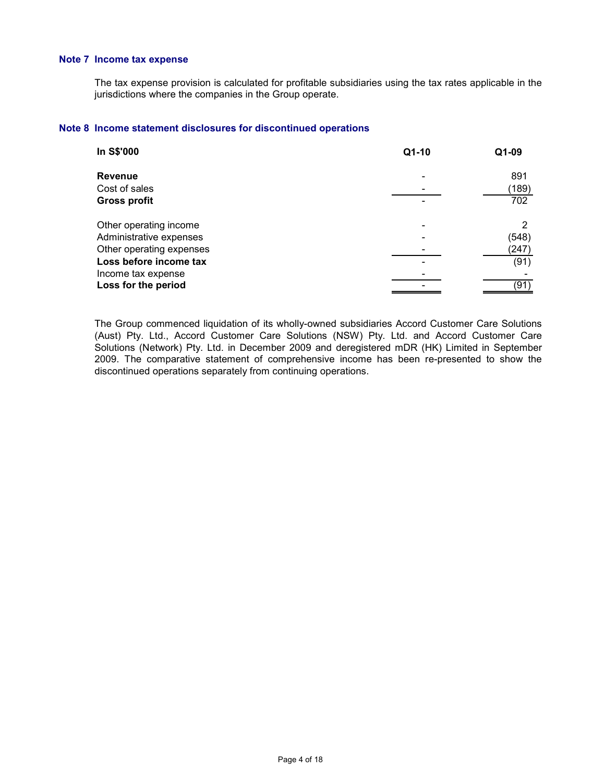#### **Note 7 Income tax expense**

 The tax expense provision is calculated for profitable subsidiaries using the tax rates applicable in the jurisdictions where the companies in the Group operate.

#### **Note 8 Income statement disclosures for discontinued operations**

| In S\$'000               | $Q1-10$ | Q1-09 |
|--------------------------|---------|-------|
| <b>Revenue</b>           |         | 891   |
| Cost of sales            |         | (189) |
| <b>Gross profit</b>      |         | 702   |
| Other operating income   |         | 2     |
| Administrative expenses  |         | (548) |
| Other operating expenses |         | (247) |
| Loss before income tax   |         | (91)  |
| Income tax expense       |         |       |
| Loss for the period      |         | (91)  |

The Group commenced liquidation of its wholly-owned subsidiaries Accord Customer Care Solutions (Aust) Pty. Ltd., Accord Customer Care Solutions (NSW) Pty. Ltd. and Accord Customer Care Solutions (Network) Pty. Ltd. in December 2009 and deregistered mDR (HK) Limited in September 2009. The comparative statement of comprehensive income has been re-presented to show the discontinued operations separately from continuing operations.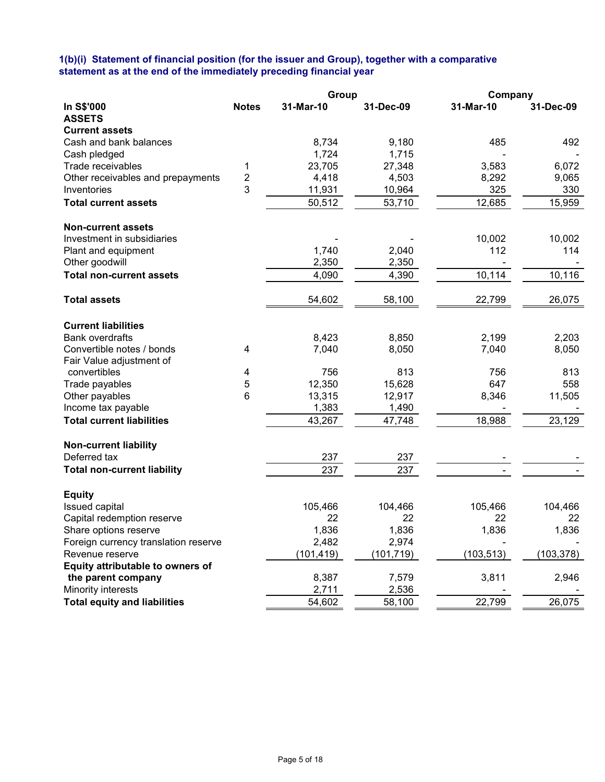### **1(b)(i) Statement of financial position (for the issuer and Group), together with a comparative statement as at the end of the immediately preceding financial year**

|                                      |              | Group      |            | Company    |            |
|--------------------------------------|--------------|------------|------------|------------|------------|
| In S\$'000                           | <b>Notes</b> | 31-Mar-10  | 31-Dec-09  | 31-Mar-10  | 31-Dec-09  |
| <b>ASSETS</b>                        |              |            |            |            |            |
| <b>Current assets</b>                |              |            |            |            |            |
| Cash and bank balances               |              | 8,734      | 9,180      | 485        | 492        |
| Cash pledged                         |              | 1,724      | 1,715      |            |            |
| Trade receivables                    | 1            | 23,705     | 27,348     | 3,583      | 6,072      |
| Other receivables and prepayments    | 2            | 4,418      | 4,503      | 8,292      | 9,065      |
| Inventories                          | 3            | 11,931     | 10,964     | 325        | 330        |
| <b>Total current assets</b>          |              | 50,512     | 53,710     | 12,685     | 15,959     |
| <b>Non-current assets</b>            |              |            |            |            |            |
| Investment in subsidiaries           |              |            |            | 10,002     | 10,002     |
| Plant and equipment                  |              | 1,740      | 2,040      | 112        | 114        |
| Other goodwill                       |              | 2,350      | 2,350      |            |            |
| <b>Total non-current assets</b>      |              | 4,090      | 4,390      | 10,114     | 10,116     |
|                                      |              |            |            |            |            |
| <b>Total assets</b>                  |              | 54,602     | 58,100     | 22,799     | 26,075     |
| <b>Current liabilities</b>           |              |            |            |            |            |
| <b>Bank overdrafts</b>               |              | 8,423      | 8,850      | 2,199      | 2,203      |
| Convertible notes / bonds            | 4            | 7,040      | 8,050      | 7,040      | 8,050      |
| Fair Value adjustment of             |              |            |            |            |            |
| convertibles                         | 4            | 756        | 813        | 756        | 813        |
| Trade payables                       | 5            | 12,350     | 15,628     | 647        | 558        |
| Other payables                       | 6            | 13,315     | 12,917     | 8,346      | 11,505     |
| Income tax payable                   |              | 1,383      | 1,490      |            |            |
| <b>Total current liabilities</b>     |              | 43,267     | 47,748     | 18,988     | 23,129     |
| <b>Non-current liability</b>         |              |            |            |            |            |
| Deferred tax                         |              | 237        | 237        |            |            |
| <b>Total non-current liability</b>   |              | 237        | 237        |            |            |
| <b>Equity</b>                        |              |            |            |            |            |
| Issued capital                       |              | 105,466    | 104,466    | 105,466    | 104,466    |
| Capital redemption reserve           |              | 22         | 22         | 22         | 22         |
| Share options reserve                |              | 1,836      | 1,836      | 1,836      | 1,836      |
| Foreign currency translation reserve |              | 2,482      | 2,974      |            |            |
| Revenue reserve                      |              | (101, 419) | (101, 719) | (103, 513) | (103, 378) |
| Equity attributable to owners of     |              |            |            |            |            |
| the parent company                   |              | 8,387      | 7,579      | 3,811      | 2,946      |
| Minority interests                   |              | 2,711      | 2,536      |            |            |
|                                      |              |            |            |            |            |
| <b>Total equity and liabilities</b>  |              | 54,602     | 58,100     | 22,799     | 26,075     |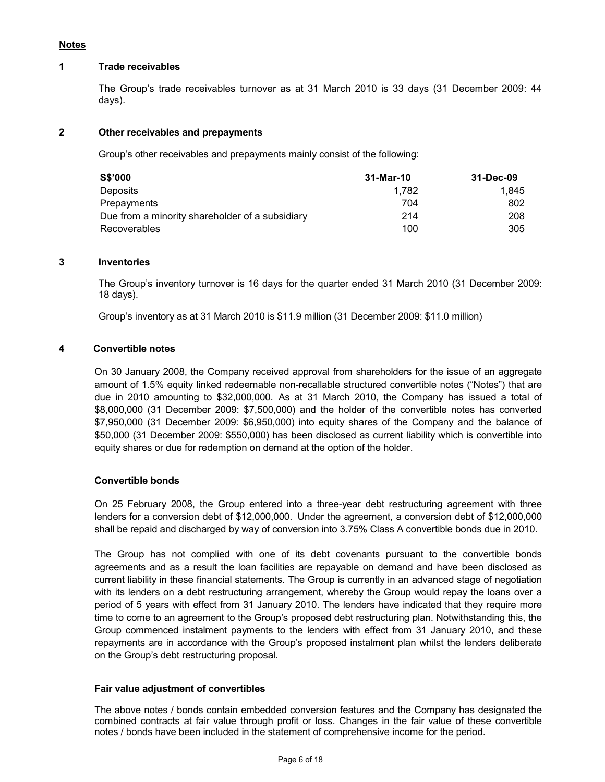### **Notes**

### **1 Trade receivables**

 The Group's trade receivables turnover as at 31 March 2010 is 33 days (31 December 2009: 44 days).

### **2 Other receivables and prepayments**

Group's other receivables and prepayments mainly consist of the following:

| <b>S\$'000</b>                                  | 31-Mar-10 | 31-Dec-09 |
|-------------------------------------------------|-----------|-----------|
| Deposits                                        | 1.782     | 1.845     |
| Prepayments                                     | 704       | 802       |
| Due from a minority shareholder of a subsidiary | 214       | 208       |
| <b>Recoverables</b>                             | 100       | 305       |

### **3 Inventories**

 The Group's inventory turnover is 16 days for the quarter ended 31 March 2010 (31 December 2009: 18 days).

Group's inventory as at 31 March 2010 is \$11.9 million (31 December 2009: \$11.0 million)

### **4 Convertible notes**

 On 30 January 2008, the Company received approval from shareholders for the issue of an aggregate amount of 1.5% equity linked redeemable non-recallable structured convertible notes ("Notes") that are due in 2010 amounting to \$32,000,000. As at 31 March 2010, the Company has issued a total of \$8,000,000 (31 December 2009: \$7,500,000) and the holder of the convertible notes has converted \$7,950,000 (31 December 2009: \$6,950,000) into equity shares of the Company and the balance of \$50,000 (31 December 2009: \$550,000) has been disclosed as current liability which is convertible into equity shares or due for redemption on demand at the option of the holder.

### **Convertible bonds**

 On 25 February 2008, the Group entered into a three-year debt restructuring agreement with three lenders for a conversion debt of \$12,000,000. Under the agreement, a conversion debt of \$12,000,000 shall be repaid and discharged by way of conversion into 3.75% Class A convertible bonds due in 2010.

 The Group has not complied with one of its debt covenants pursuant to the convertible bonds agreements and as a result the loan facilities are repayable on demand and have been disclosed as current liability in these financial statements. The Group is currently in an advanced stage of negotiation with its lenders on a debt restructuring arrangement, whereby the Group would repay the loans over a period of 5 years with effect from 31 January 2010. The lenders have indicated that they require more time to come to an agreement to the Group's proposed debt restructuring plan. Notwithstanding this, the Group commenced instalment payments to the lenders with effect from 31 January 2010, and these repayments are in accordance with the Group's proposed instalment plan whilst the lenders deliberate on the Group's debt restructuring proposal.

### **Fair value adjustment of convertibles**

The above notes / bonds contain embedded conversion features and the Company has designated the combined contracts at fair value through profit or loss. Changes in the fair value of these convertible notes / bonds have been included in the statement of comprehensive income for the period.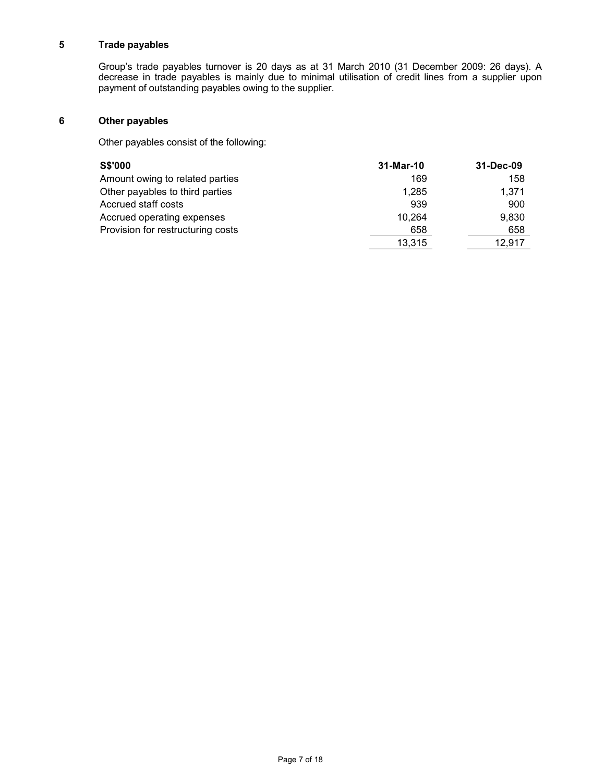# **5 Trade payables**

 Group's trade payables turnover is 20 days as at 31 March 2010 (31 December 2009: 26 days). A decrease in trade payables is mainly due to minimal utilisation of credit lines from a supplier upon payment of outstanding payables owing to the supplier.

### **6 Other payables**

Other payables consist of the following:

| <b>S\$'000</b>                    | 31-Mar-10 | 31-Dec-09 |
|-----------------------------------|-----------|-----------|
| Amount owing to related parties   | 169       | 158       |
| Other payables to third parties   | 1.285     | 1.371     |
| Accrued staff costs               | 939       | 900       |
| Accrued operating expenses        | 10.264    | 9,830     |
| Provision for restructuring costs | 658       | 658       |
|                                   | 13,315    | 12.917    |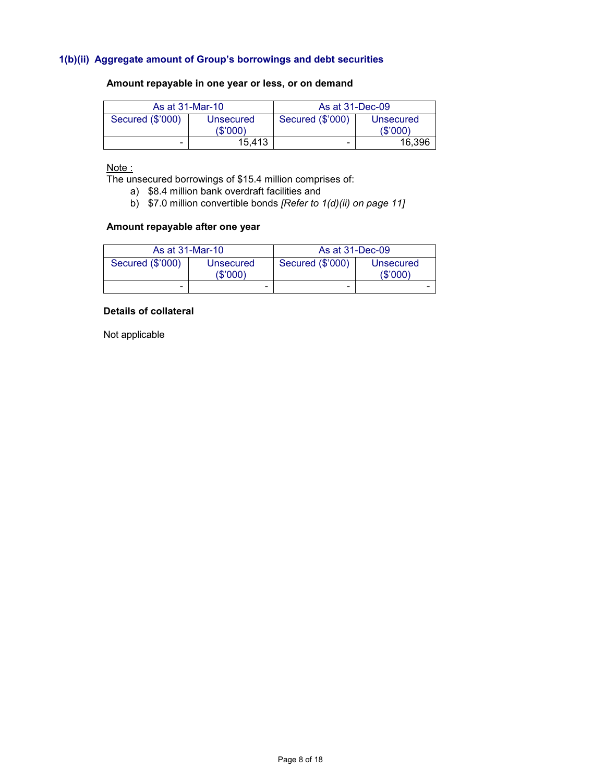### **1(b)(ii) Aggregate amount of Group's borrowings and debt securities**

#### As at 31-Mar-10 As at 31-Dec-09 Secured (\$'000) Unsecured (\$'000) Secured (\$'000) Unsecured  $\frac{(\$'000)}{16,396}$  $-$  15,413 -

## **Amount repayable in one year or less, or on demand**

#### Note:

The unsecured borrowings of \$15.4 million comprises of:

- a) \$8.4 million bank overdraft facilities and
- b) \$7.0 million convertible bonds *[Refer to 1(d)(ii) on page 11]*

#### **Amount repayable after one year**

| As at 31-Mar-10  |                      | As at 31-Dec-09  |                      |
|------------------|----------------------|------------------|----------------------|
| Secured (\$'000) | Unsecured<br>(S'000) | Secured (\$'000) | Unsecured<br>(S'000) |
| -                | -                    | -                | -                    |

### **Details of collateral**

Not applicable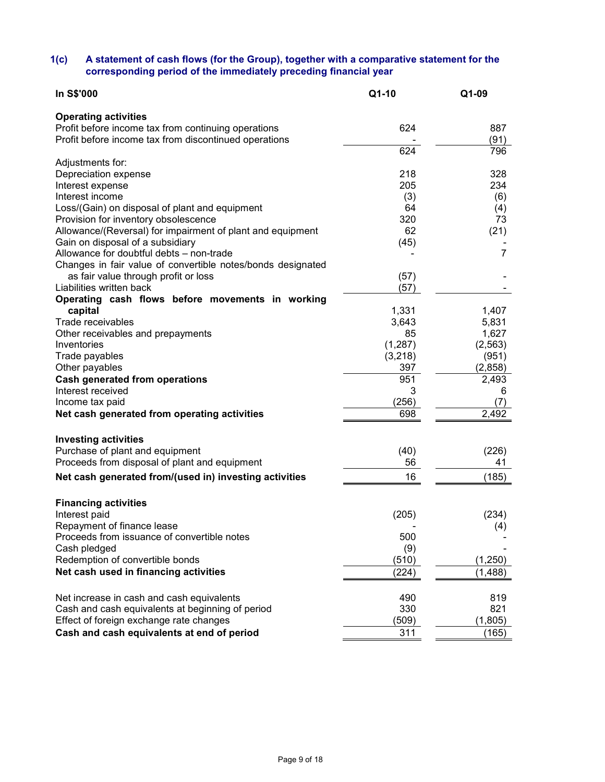### **1(c) A statement of cash flows (for the Group), together with a comparative statement for the corresponding period of the immediately preceding financial year**

| In S\$'000                                                  | Q1-10      | Q1-09          |
|-------------------------------------------------------------|------------|----------------|
| <b>Operating activities</b>                                 |            |                |
| Profit before income tax from continuing operations         | 624        | 887            |
| Profit before income tax from discontinued operations       |            | (91)           |
|                                                             | 624        | 796            |
| Adjustments for:                                            |            |                |
| Depreciation expense                                        | 218<br>205 | 328            |
| Interest expense<br>Interest income                         | (3)        | 234            |
| Loss/(Gain) on disposal of plant and equipment              | 64         | (6)<br>(4)     |
| Provision for inventory obsolescence                        | 320        | 73             |
| Allowance/(Reversal) for impairment of plant and equipment  | 62         | (21)           |
| Gain on disposal of a subsidiary                            | (45)       |                |
| Allowance for doubtful debts - non-trade                    |            | $\overline{7}$ |
| Changes in fair value of convertible notes/bonds designated |            |                |
| as fair value through profit or loss                        | (57)       |                |
| Liabilities written back                                    | (57)       |                |
| Operating cash flows before movements in working            |            |                |
| capital                                                     | 1,331      | 1,407          |
| Trade receivables                                           | 3,643      | 5,831          |
| Other receivables and prepayments                           | 85         | 1,627          |
| Inventories                                                 | (1, 287)   | (2, 563)       |
| Trade payables                                              | (3,218)    | (951)          |
| Other payables                                              | 397        | (2,858)        |
| <b>Cash generated from operations</b>                       | 951        | 2,493          |
| Interest received                                           | 3          | 6              |
| Income tax paid                                             | (256)      | (7)            |
| Net cash generated from operating activities                | 698        | 2,492          |
| <b>Investing activities</b>                                 |            |                |
| Purchase of plant and equipment                             | (40)       | (226)          |
| Proceeds from disposal of plant and equipment               | 56         | 41             |
| Net cash generated from/(used in) investing activities      | 16         | (185)          |
|                                                             |            |                |
| <b>Financing activities</b>                                 |            |                |
| Interest paid                                               | (205)      | (234)          |
| Repayment of finance lease                                  |            | (4)            |
| Proceeds from issuance of convertible notes                 | 500        |                |
| Cash pledged                                                | (9)        |                |
| Redemption of convertible bonds                             | (510)      | (1,250)        |
| Net cash used in financing activities                       | (224)      | (1, 488)       |
| Net increase in cash and cash equivalents                   | 490        | 819            |
| Cash and cash equivalents at beginning of period            | 330        | 821            |
| Effect of foreign exchange rate changes                     | (509)      | (1,805)        |
| Cash and cash equivalents at end of period                  | 311        | (165)          |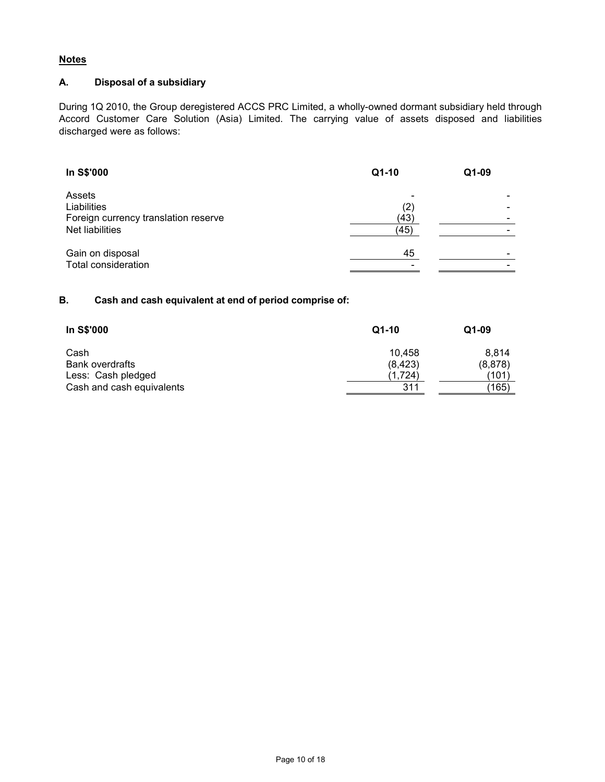### **Notes**

# **A. Disposal of a subsidiary**

During 1Q 2010, the Group deregistered ACCS PRC Limited, a wholly-owned dormant subsidiary held through Accord Customer Care Solution (Asia) Limited. The carrying value of assets disposed and liabilities discharged were as follows:

| In S\$'000                                                                       | Q1-10               | Q1-09 |
|----------------------------------------------------------------------------------|---------------------|-------|
| Assets<br>Liabilities<br>Foreign currency translation reserve<br>Net liabilities | (2)<br>(43)<br>(45) |       |
| Gain on disposal<br><b>Total consideration</b>                                   | 45                  |       |

### **B. Cash and cash equivalent at end of period comprise of:**

| In S\$'000                | $Q1-10$  | $Q1-09$ |
|---------------------------|----------|---------|
| Cash                      | 10.458   | 8.814   |
| Bank overdrafts           | (8, 423) | (8,878) |
| Less: Cash pledged        | (1.724)  | (101`   |
| Cash and cash equivalents | 311      | (165)   |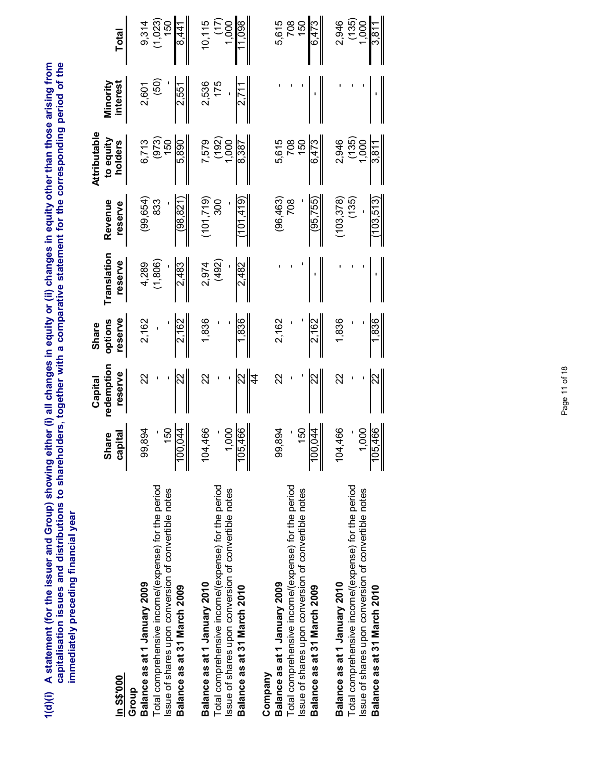1(d)(i) A statement (for the issuer and Group) showing either (i) all changes in equity or (ii) changes in equity other than those arising from<br>capitalisation issues and distributions to shareholders, together with a compa **1(d)(i) A statement (for the issuer and Group) showing either (i) all changes in equity or (ii) changes in equity other than those arising from capitalisation issues and distributions to shareholders, together with a comparative statement for the corresponding period of the immediately preceding financial year** 

| In S\$'000                                                                                                                                                                            | capital<br><b>Share</b>                               | redemption<br>reserve<br>Capital | reserve<br>options<br>Share | Translation<br>reserve    | Revenue<br>reserve             | Attributable<br>to equity<br>holders   | Minority<br><b>interest</b> | Total                              |
|---------------------------------------------------------------------------------------------------------------------------------------------------------------------------------------|-------------------------------------------------------|----------------------------------|-----------------------------|---------------------------|--------------------------------|----------------------------------------|-----------------------------|------------------------------------|
| Total comprehensive income/(expense) for the period<br>ssue of shares upon conversion of convertible notes<br>Balance as at 1 January 2009<br>Balance as at 31 March 2009<br>Group    | 0,044<br>$\frac{50}{5}$<br>9,894<br>თ<br>$ \tilde{=}$ |                                  | 2,162<br>2,162              | 4,289<br>(1,806)<br>2,483 | (99,654<br>833<br>(38, 89)     | $(973)$<br>150<br>5,890<br>6,713       | 60<br>2,551<br>2,601        | $9,314$<br>(1,023)<br>150<br>8,441 |
| Total comprehensive income/(expense) for the period<br>Issue of shares upon conversion of convertible notes<br>Balance as at 1 January 2010<br>Balance as at 31 March 2010            | 15,466<br>14,466<br>1,000<br>S<br>$\Xi$               | ನ                                | 1,836<br>1,836              | (492)<br>2,482<br>2,974   | 101,419<br>(101, 719)<br>300   | $(192)$<br>$(1,000)$<br>7,579<br>8,387 | 2,536                       | 10,115<br>1,000<br>860             |
| Total comprehensive income/(expense) for the period<br>Issue of shares upon conversion of convertible notes<br>Balance as at 1 January 2009<br>Balance as at 31 March 2009<br>Company | 150<br>0,044<br>99,894<br>σ<br>$ \tilde{=}$           | 22                               | 2,162<br>2,162              |                           | (95,755)<br>(96, 463)<br>708   | 6,473<br>$\overline{150}$<br>5,615     |                             | 6,473<br>5,615<br>708<br>150       |
| Total comprehensive income/(expense) for the period<br>Issue of shares upon conversion of convertible notes<br>Balance as at 1 January 2010<br>Balance as at 31 March 2010            | 15,466<br>14,466<br>1,000<br>S<br>0 <sup>1</sup>      | ನ                                | 1,836<br>1,836              |                           | (103, 378)<br>103,513<br>(135) | 2,946<br>(135)<br>1,000<br>3,811       |                             | (135)<br>2,946<br>1,000<br>3,811   |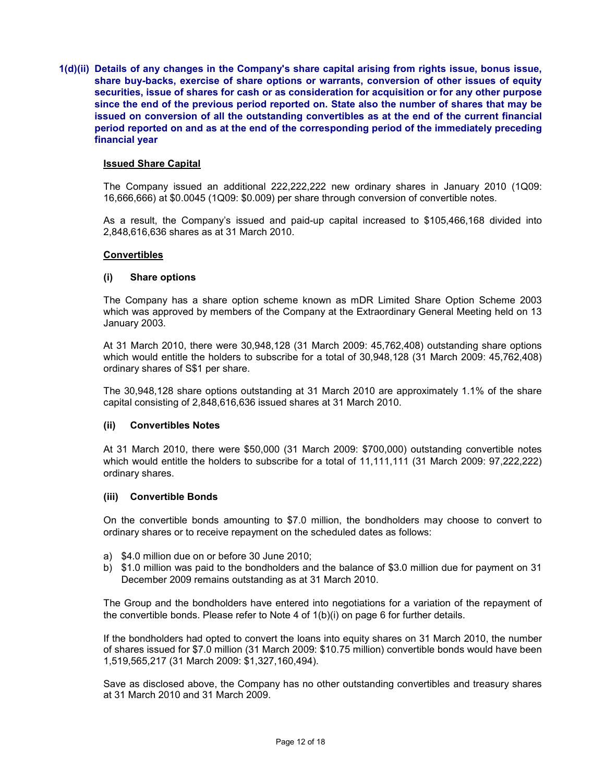**1(d)(ii) Details of any changes in the Company's share capital arising from rights issue, bonus issue, share buy-backs, exercise of share options or warrants, conversion of other issues of equity securities, issue of shares for cash or as consideration for acquisition or for any other purpose since the end of the previous period reported on. State also the number of shares that may be issued on conversion of all the outstanding convertibles as at the end of the current financial period reported on and as at the end of the corresponding period of the immediately preceding financial year** 

### **Issued Share Capital**

The Company issued an additional 222,222,222 new ordinary shares in January 2010 (1Q09: 16,666,666) at \$0.0045 (1Q09: \$0.009) per share through conversion of convertible notes.

As a result, the Company's issued and paid-up capital increased to \$105,466,168 divided into 2,848,616,636 shares as at 31 March 2010.

#### **Convertibles**

#### **(i) Share options**

The Company has a share option scheme known as mDR Limited Share Option Scheme 2003 which was approved by members of the Company at the Extraordinary General Meeting held on 13 January 2003.

At 31 March 2010, there were 30,948,128 (31 March 2009: 45,762,408) outstanding share options which would entitle the holders to subscribe for a total of 30,948,128 (31 March 2009: 45,762,408) ordinary shares of S\$1 per share.

The 30,948,128 share options outstanding at 31 March 2010 are approximately 1.1% of the share capital consisting of 2,848,616,636 issued shares at 31 March 2010.

#### **(ii) Convertibles Notes**

At 31 March 2010, there were \$50,000 (31 March 2009: \$700,000) outstanding convertible notes which would entitle the holders to subscribe for a total of 11,111,111 (31 March 2009: 97,222,222) ordinary shares.

#### **(iii) Convertible Bonds**

On the convertible bonds amounting to \$7.0 million, the bondholders may choose to convert to ordinary shares or to receive repayment on the scheduled dates as follows:

- a) \$4.0 million due on or before 30 June 2010;
- b) \$1.0 million was paid to the bondholders and the balance of \$3.0 million due for payment on 31 December 2009 remains outstanding as at 31 March 2010.

The Group and the bondholders have entered into negotiations for a variation of the repayment of the convertible bonds. Please refer to Note 4 of 1(b)(i) on page 6 for further details.

If the bondholders had opted to convert the loans into equity shares on 31 March 2010, the number of shares issued for \$7.0 million (31 March 2009: \$10.75 million) convertible bonds would have been 1,519,565,217 (31 March 2009: \$1,327,160,494).

Save as disclosed above, the Company has no other outstanding convertibles and treasury shares at 31 March 2010 and 31 March 2009.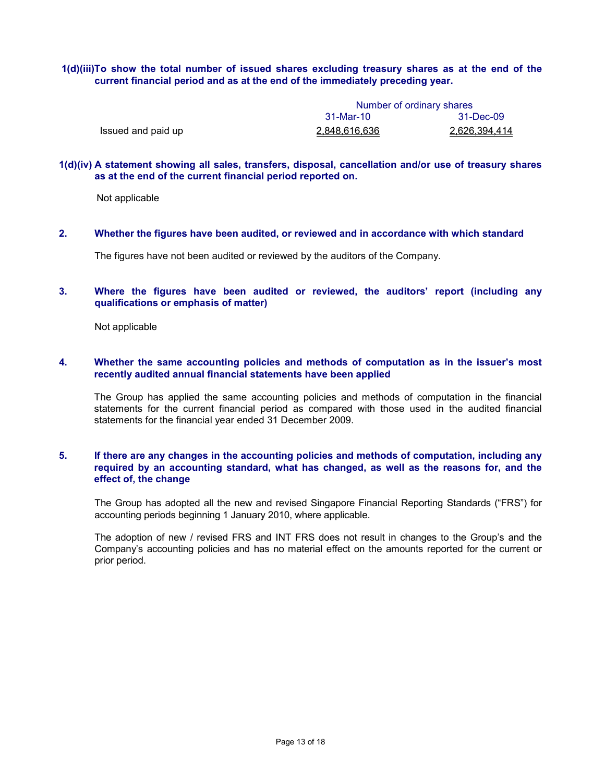### **1(d)(iii)To show the total number of issued shares excluding treasury shares as at the end of the current financial period and as at the end of the immediately preceding year.**

|                    | Number of ordinary shares |                      |
|--------------------|---------------------------|----------------------|
|                    | 31-Mar-10                 | 31-Dec-09            |
| Issued and paid up | 2,848,616,636             | <u>2,626,394,414</u> |

#### **1(d)(iv) A statement showing all sales, transfers, disposal, cancellation and/or use of treasury shares as at the end of the current financial period reported on.**

Not applicable

**2. Whether the figures have been audited, or reviewed and in accordance with which standard** 

The figures have not been audited or reviewed by the auditors of the Company.

### **3. Where the figures have been audited or reviewed, the auditors' report (including any qualifications or emphasis of matter)**

Not applicable

#### **4. Whether the same accounting policies and methods of computation as in the issuer's most recently audited annual financial statements have been applied**

The Group has applied the same accounting policies and methods of computation in the financial statements for the current financial period as compared with those used in the audited financial statements for the financial year ended 31 December 2009.

### **5. If there are any changes in the accounting policies and methods of computation, including any required by an accounting standard, what has changed, as well as the reasons for, and the effect of, the change**

The Group has adopted all the new and revised Singapore Financial Reporting Standards ("FRS") for accounting periods beginning 1 January 2010, where applicable.

The adoption of new / revised FRS and INT FRS does not result in changes to the Group's and the Company's accounting policies and has no material effect on the amounts reported for the current or prior period.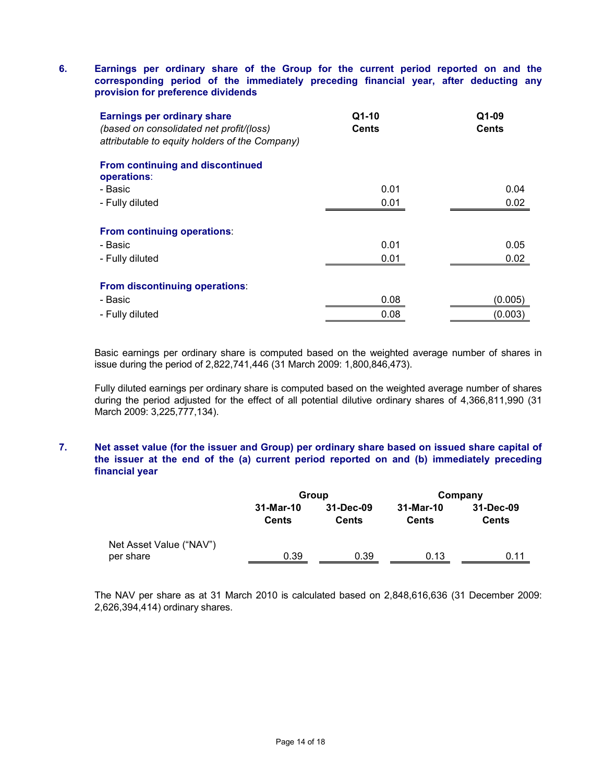### **6. Earnings per ordinary share of the Group for the current period reported on and the corresponding period of the immediately preceding financial year, after deducting any provision for preference dividends**

| <b>Earnings per ordinary share</b><br>(based on consolidated net profit/(loss)<br>attributable to equity holders of the Company) | $Q1-10$<br><b>Cents</b> | Q1-09<br><b>Cents</b> |
|----------------------------------------------------------------------------------------------------------------------------------|-------------------------|-----------------------|
| From continuing and discontinued<br>operations:                                                                                  |                         |                       |
| - Basic                                                                                                                          | 0.01                    | 0.04                  |
| - Fully diluted                                                                                                                  | 0.01                    | 0.02                  |
| From continuing operations:<br>- Basic<br>- Fully diluted                                                                        | 0.01<br>0.01            | 0.05<br>0.02          |
| From discontinuing operations:                                                                                                   |                         |                       |
| - Basic                                                                                                                          | 0.08                    | (0.005)               |
| - Fully diluted                                                                                                                  | 0.08                    | (0.003)               |

Basic earnings per ordinary share is computed based on the weighted average number of shares in issue during the period of 2,822,741,446 (31 March 2009: 1,800,846,473).

Fully diluted earnings per ordinary share is computed based on the weighted average number of shares during the period adjusted for the effect of all potential dilutive ordinary shares of 4,366,811,990 (31 March 2009: 3,225,777,134).

### **7. Net asset value (for the issuer and Group) per ordinary share based on issued share capital of the issuer at the end of the (a) current period reported on and (b) immediately preceding financial year**

|                                      |                    | Group              |                    | Company                   |  |
|--------------------------------------|--------------------|--------------------|--------------------|---------------------------|--|
|                                      | 31-Mar-10<br>Cents | 31-Dec-09<br>Cents | 31-Mar-10<br>Cents | 31-Dec-09<br><b>Cents</b> |  |
| Net Asset Value ("NAV")<br>per share | 0.39               | 0.39               | 0.13               | 0.11                      |  |

The NAV per share as at 31 March 2010 is calculated based on 2,848,616,636 (31 December 2009: 2,626,394,414) ordinary shares.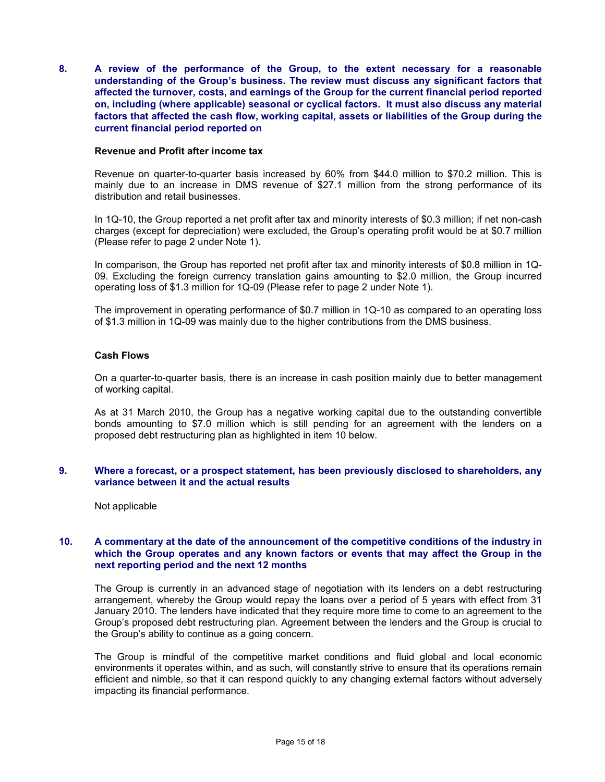**8. A review of the performance of the Group, to the extent necessary for a reasonable understanding of the Group's business. The review must discuss any significant factors that affected the turnover, costs, and earnings of the Group for the current financial period reported on, including (where applicable) seasonal or cyclical factors. It must also discuss any material factors that affected the cash flow, working capital, assets or liabilities of the Group during the current financial period reported on** 

#### **Revenue and Profit after income tax**

Revenue on quarter-to-quarter basis increased by 60% from \$44.0 million to \$70.2 million. This is mainly due to an increase in DMS revenue of \$27.1 million from the strong performance of its distribution and retail businesses.

In 1Q-10, the Group reported a net profit after tax and minority interests of \$0.3 million; if net non-cash charges (except for depreciation) were excluded, the Group's operating profit would be at \$0.7 million (Please refer to page 2 under Note 1).

In comparison, the Group has reported net profit after tax and minority interests of \$0.8 million in 1Q-09. Excluding the foreign currency translation gains amounting to \$2.0 million, the Group incurred operating loss of \$1.3 million for 1Q-09 (Please refer to page 2 under Note 1).

The improvement in operating performance of \$0.7 million in 1Q-10 as compared to an operating loss of \$1.3 million in 1Q-09 was mainly due to the higher contributions from the DMS business.

### **Cash Flows**

On a quarter-to-quarter basis, there is an increase in cash position mainly due to better management of working capital.

As at 31 March 2010, the Group has a negative working capital due to the outstanding convertible bonds amounting to \$7.0 million which is still pending for an agreement with the lenders on a proposed debt restructuring plan as highlighted in item 10 below.

### **9. Where a forecast, or a prospect statement, has been previously disclosed to shareholders, any variance between it and the actual results**

Not applicable

### **10. A commentary at the date of the announcement of the competitive conditions of the industry in which the Group operates and any known factors or events that may affect the Group in the next reporting period and the next 12 months**

The Group is currently in an advanced stage of negotiation with its lenders on a debt restructuring arrangement, whereby the Group would repay the loans over a period of 5 years with effect from 31 January 2010. The lenders have indicated that they require more time to come to an agreement to the Group's proposed debt restructuring plan. Agreement between the lenders and the Group is crucial to the Group's ability to continue as a going concern.

The Group is mindful of the competitive market conditions and fluid global and local economic environments it operates within, and as such, will constantly strive to ensure that its operations remain efficient and nimble, so that it can respond quickly to any changing external factors without adversely impacting its financial performance.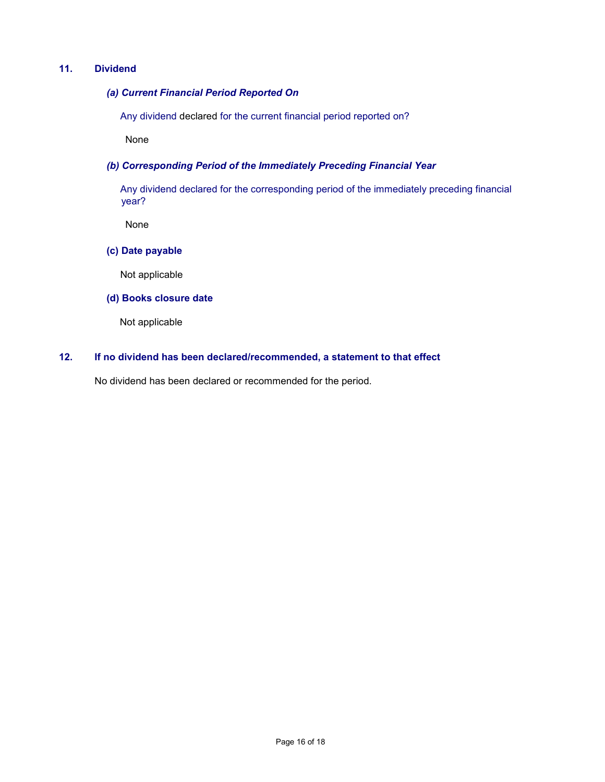### **11. Dividend**

### *(a) Current Financial Period Reported On*

Any dividend declared for the current financial period reported on?

None

### *(b) Corresponding Period of the Immediately Preceding Financial Year*

 Any dividend declared for the corresponding period of the immediately preceding financial year?

None

### **(c) Date payable**

Not applicable

#### **(d) Books closure date**

Not applicable

### **12. If no dividend has been declared/recommended, a statement to that effect**

No dividend has been declared or recommended for the period.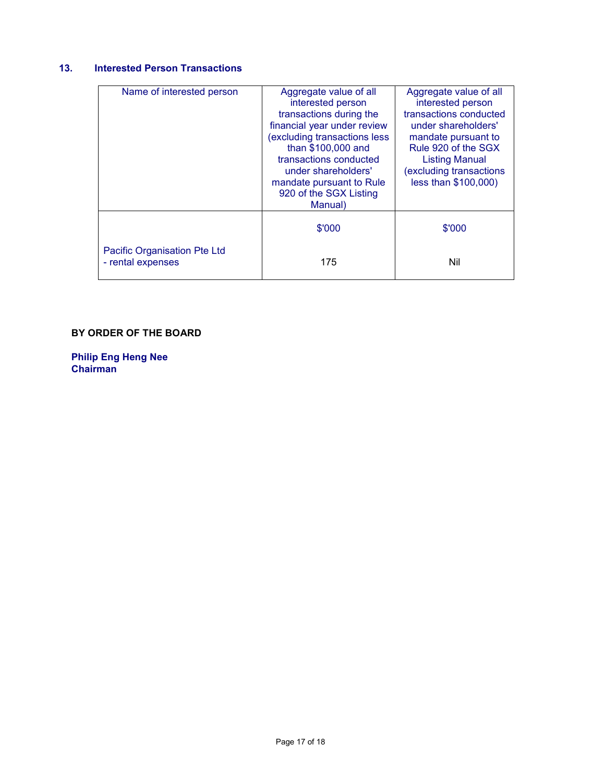# **13. Interested Person Transactions**

| Name of interested person                         | Aggregate value of all<br>interested person            | Aggregate value of all<br>interested person   |
|---------------------------------------------------|--------------------------------------------------------|-----------------------------------------------|
|                                                   | transactions during the<br>financial year under review | transactions conducted<br>under shareholders' |
|                                                   | (excluding transactions less                           | mandate pursuant to                           |
|                                                   | than \$100,000 and<br>transactions conducted           | Rule 920 of the SGX<br><b>Listing Manual</b>  |
|                                                   | under shareholders'                                    | excluding transactions                        |
|                                                   | mandate pursuant to Rule<br>920 of the SGX Listing     | less than \$100,000)                          |
|                                                   | Manual)                                                |                                               |
|                                                   | \$'000                                                 | \$'000                                        |
| Pacific Organisation Pte Ltd<br>- rental expenses | 175                                                    | Nil                                           |

# **BY ORDER OF THE BOARD**

**Philip Eng Heng Nee Chairman**